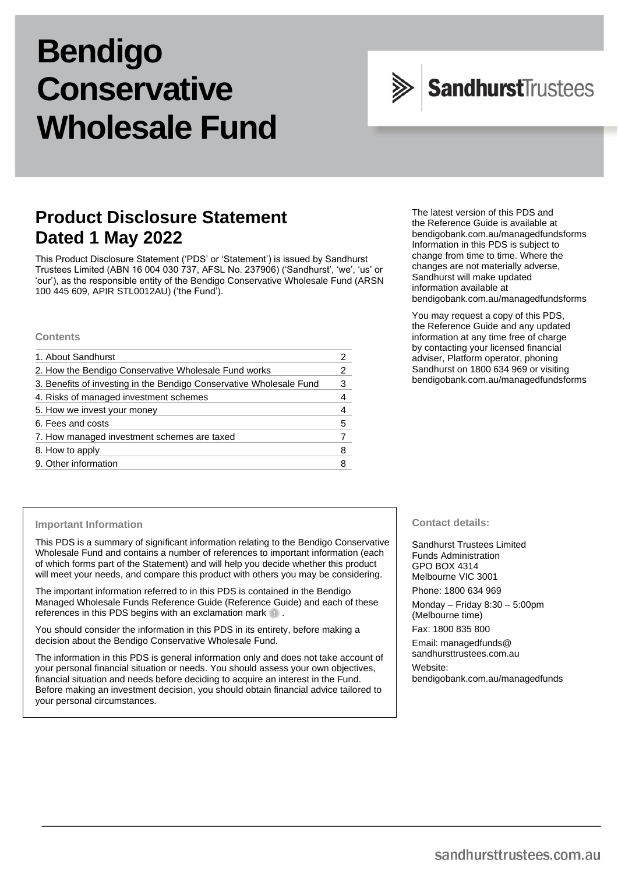# **Bendigo Conservative Wholesale Fund**



# **Product Disclosure Statement Dated 1 May 2022**

This Product Disclosure Statement ('PDS' or 'Statement') is issued by Sandhurst Trustees Limited (ABN 16 004 030 737, AFSL No. 237906) ('Sandhurst', 'we', 'us' or 'our'), as the responsible entity of the Bendigo Conservative Wholesale Fund (ARSN 100 445 609, APIR STL0012AU) ('the Fund').

#### **Contents**

| 2 |
|---|
| 3 |
| 4 |
|   |
| 5 |
|   |
| 8 |
|   |
|   |

The latest version of this PDS and the Reference Guide is available at [bendigobank.com.au/managedfundsf](https://bendigobank.com.au/managedfundsforms)orms Information in this PDS is subject to change from time to time. Where the changes are not materially adverse, Sandhurst will make updated information available at [bendigobank.com.au/managedfundsf](https://bendigobank.com.au/managedfundsforms)orms

You may request a copy of this PDS, the Reference Guide and any updated information at any time free of charge by contacting your licensed financial adviser, Platform operator, phoning Sandhurst on 1800 634 969 or visiting [bendigobank.com.au/managedfundsf](https://bendigobank.com.au/managedfundsforms)orms

#### **Important Information**

This PDS is a summary of significant information relating to the Bendigo Conservative Wholesale Fund and contains a number of references to important information (each of which forms part of the Statement) and will help you decide whether this product will meet your needs, and compare this product with others you may be considering.

The important information referred to in this PDS is contained in the Bendigo Managed Wholesale Funds Reference Guide (Reference Guide) and each of these references in this PDS begins with an exclamation mark  $\blacksquare$ .

You should consider the information in this PDS in its entirety, before making a decision about the Bendigo Conservative Wholesale Fund.

The information in this PDS is general information only and does not take account of your personal financial situation or needs. You should assess your own objectives, financial situation and needs before deciding to acquire an interest in the Fund. Before making an investment decision, you should obtain financial advice tailored to your personal circumstances.

#### **Contact details:**

Sandhurst Trustees Limited Funds Administration GPO BOX 4314 Melbourne VIC 3001 Phone: 1800 634 969

Monday – Friday 8:30 – 5:00pm (Melbourne time)

Fax: 1800 835 800

Email[: managedfunds@](mailto:managedfunds@sandhursttrustees.com.au) [sandhursttrustees.com.au](mailto:managedfunds@sandhursttrustees.com.au)

Website: [bendigobank.com.au/managedfunds](https://www.bendigobank.com.au/managedfundsforms/)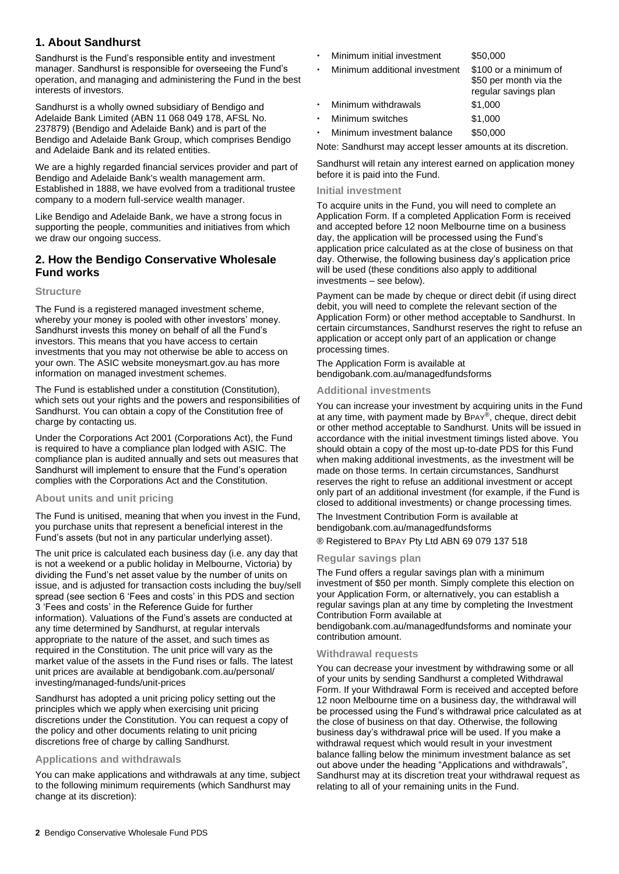# **1. About Sandhurst**

Sandhurst is the Fund's responsible entity and investment manager. Sandhurst is responsible for overseeing the Fund's operation, and managing and administering the Fund in the best interests of investors.

Sandhurst is a wholly owned subsidiary of Bendigo and Adelaide Bank Limited (ABN 11 068 049 178, AFSL No. 237879) (Bendigo and Adelaide Bank) and is part of the Bendigo and Adelaide Bank Group, which comprises Bendigo and Adelaide Bank and its related entities.

We are a highly regarded financial services provider and part of Bendigo and Adelaide Bank's wealth management arm. Established in 1888, we have evolved from a traditional trustee company to a modern full-service wealth manager.

Like Bendigo and Adelaide Bank, we have a strong focus in supporting the people, communities and initiatives from which we draw our ongoing success.

# **2. How the Bendigo Conservative Wholesale Fund works**

#### **Structure**

The Fund is a registered managed investment scheme, whereby your money is pooled with other investors' money. Sandhurst invests this money on behalf of all the Fund's investors. This means that you have access to certain investments that you may not otherwise be able to access on your own. The ASIC website [moneysmart.gov.au](https://www.moneysmart.gov.au/) has more information on managed investment schemes.

The Fund is established under a constitution (Constitution), which sets out your rights and the powers and responsibilities of Sandhurst. You can obtain a copy of the Constitution free of charge by contacting us.

Under the Corporations Act 2001 (Corporations Act), the Fund is required to have a compliance plan lodged with ASIC. The compliance plan is audited annually and sets out measures that Sandhurst will implement to ensure that the Fund's operation complies with the Corporations Act and the Constitution.

#### **About units and unit pricing**

The Fund is unitised, meaning that when you invest in the Fund, you purchase units that represent a beneficial interest in the Fund's assets (but not in any particular underlying asset).

The unit price is calculated each business day (i.e. any day that is not a weekend or a public holiday in Melbourne, Victoria) by dividing the Fund's net asset value by the number of units on issue, and is adjusted for transaction costs including the buy/sell spread (see section 6 'Fees and costs' in this PDS and section 3 'Fees and costs' in the Reference Guide for further information). Valuations of the Fund's assets are conducted at any time determined by Sandhurst, at regular intervals appropriate to the nature of the asset, and such times as required in the Constitution. The unit price will vary as the market value of the assets in the Fund rises or falls. The latest unit prices are available at [bendigobank.com.au/personal/](https://www.bendigobank.com.au/personal/investing/managed-funds/unit-prices)  [investing/managed-funds/unit-prices](https://www.bendigobank.com.au/personal/investing/managed-funds/unit-prices)

Sandhurst has adopted a unit pricing policy setting out the principles which we apply when exercising unit pricing discretions under the Constitution. You can request a copy of the policy and other documents relating to unit pricing discretions free of charge by calling Sandhurst.

#### **Applications and withdrawals**

You can make applications and withdrawals at any time, subject to the following minimum requirements (which Sandhurst may change at its discretion):

- Minimum initial investment \$50,000
- Minimum additional investment \$100 or a minimum of \$50 per month via the

|           |                     | regular savings plan |
|-----------|---------------------|----------------------|
| $\bullet$ | Minimum withdrawals | \$1.000              |
| $\bullet$ | Minimum switches    | \$1,000              |

Minimum investment balance \$50,000

Note: Sandhurst may accept lesser amounts at its discretion.

Sandhurst will retain any interest earned on application money before it is paid into the Fund.

#### **Initial investment**

To acquire units in the Fund, you will need to complete an Application Form. If a completed Application Form is received and accepted before 12 noon Melbourne time on a business day, the application will be processed using the Fund's application price calculated as at the close of business on that day. Otherwise, the following business day's application price will be used (these conditions also apply to additional investments – see below).

Payment can be made by cheque or direct debit (if using direct debit, you will need to complete the relevant section of the Application Form) or other method acceptable to Sandhurst. In certain circumstances, Sandhurst reserves the right to refuse an application or accept only part of an application or change processing times.

The Application Form is available at [bendigobank.com.au/managedfundsf](https://bendigobank.com.au/managedfundsforms)orms

#### **Additional investments**

You can increase your investment by acquiring units in the Fund at any time, with payment made by BPAY®, cheque, direct debit or other method acceptable to Sandhurst. Units will be issued in accordance with the initial investment timings listed above. You should obtain a copy of the most up-to-date PDS for this Fund when making additional investments, as the investment will be made on those terms. In certain circumstances, Sandhurst reserves the right to refuse an additional investment or accept only part of an additional investment (for example, if the Fund is closed to additional investments) or change processing times.

The Investment Contribution Form is available at [bendigobank.com.au/managedfundsf](https://bendigobank.com.au/managedfundsforms)orms

® Registered to BPAY Pty Ltd ABN 69 079 137 518

#### **Regular savings plan**

The Fund offers a regular savings plan with a minimum investment of \$50 per month. Simply complete this election on your Application Form, or alternatively, you can establish a regular savings plan at any time by completing the Investment Contribution Form available at

[bendigobank.com.au/managedfundsf](https://bendigobank.com.au/managedfundsforms)orms and nominate your contribution amount.

#### **Withdrawal requests**

You can decrease your investment by withdrawing some or all of your units by sending Sandhurst a completed Withdrawal Form. If your Withdrawal Form is received and accepted before 12 noon Melbourne time on a business day, the withdrawal will be processed using the Fund's withdrawal price calculated as at the close of business on that day. Otherwise, the following business day's withdrawal price will be used. If you make a withdrawal request which would result in your investment balance falling below the minimum investment balance as set out above under the heading "Applications and withdrawals", Sandhurst may at its discretion treat your withdrawal request as relating to all of your remaining units in the Fund.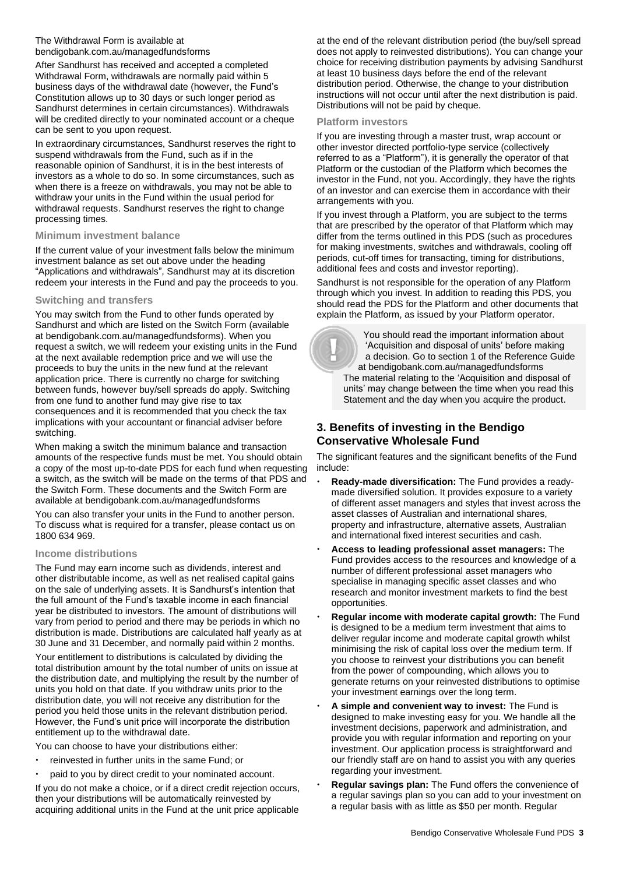#### The Withdrawal Form is available at [bendigobank.com.au/managedfundsf](https://bendigobank.com.au/managedfundsforms)orms

After Sandhurst has received and accepted a completed Withdrawal Form, withdrawals are normally paid within 5 business days of the withdrawal date (however, the Fund's Constitution allows up to 30 days or such longer period as Sandhurst determines in certain circumstances). Withdrawals will be credited directly to your nominated account or a cheque can be sent to you upon request.

In extraordinary circumstances, Sandhurst reserves the right to suspend withdrawals from the Fund, such as if in the reasonable opinion of Sandhurst, it is in the best interests of investors as a whole to do so. In some circumstances, such as when there is a freeze on withdrawals, you may not be able to withdraw your units in the Fund within the usual period for withdrawal requests. Sandhurst reserves the right to change processing times.

#### **Minimum investment balance**

If the current value of your investment falls below the minimum investment balance as set out above under the heading "Applications and withdrawals", Sandhurst may at its discretion redeem your interests in the Fund and pay the proceeds to you.

#### **Switching and transfers**

You may switch from the Fund to other funds operated by Sandhurst and which are listed on the Switch Form (available at [bendigobank.com.au/managedfundsf](https://bendigobank.com.au/managedfundsforms)orms). When you request a switch, we will redeem your existing units in the Fund at the next available redemption price and we will use the proceeds to buy the units in the new fund at the relevant application price. There is currently no charge for switching between funds, however buy/sell spreads do apply. Switching from one fund to another fund may give rise to tax consequences and it is recommended that you check the tax implications with your accountant or financial adviser before switching.

When making a switch the minimum balance and transaction amounts of the respective funds must be met. You should obtain a copy of the most up-to-date PDS for each fund when requesting a switch, as the switch will be made on the terms of that PDS and the Switch Form. These documents and the Switch Form are available at [bendigobank.com.au/managedfundsf](https://bendigobank.com.au/managedfundsforms)orms

You can also transfer your units in the Fund to another person. To discuss what is required for a transfer, please contact us on 1800 634 969.

#### **Income distributions**

The Fund may earn income such as dividends, interest and other distributable income, as well as net realised capital gains on the sale of underlying assets. It is Sandhurst's intention that the full amount of the Fund's taxable income in each financial year be distributed to investors. The amount of distributions will vary from period to period and there may be periods in which no distribution is made. Distributions are calculated half yearly as at 30 June and 31 December, and normally paid within 2 months.

Your entitlement to distributions is calculated by dividing the total distribution amount by the total number of units on issue at the distribution date, and multiplying the result by the number of units you hold on that date. If you withdraw units prior to the distribution date, you will not receive any distribution for the period you held those units in the relevant distribution period. However, the Fund's unit price will incorporate the distribution entitlement up to the withdrawal date.

You can choose to have your distributions either:

- reinvested in further units in the same Fund; or
- paid to you by direct credit to your nominated account.

If you do not make a choice, or if a direct credit rejection occurs, then your distributions will be automatically reinvested by acquiring additional units in the Fund at the unit price applicable

at the end of the relevant distribution period (the buy/sell spread does not apply to reinvested distributions). You can change your choice for receiving distribution payments by advising Sandhurst at least 10 business days before the end of the relevant distribution period. Otherwise, the change to your distribution instructions will not occur until after the next distribution is paid. Distributions will not be paid by cheque.

#### **Platform investors**

If you are investing through a master trust, wrap account or other investor directed portfolio-type service (collectively referred to as a "Platform"), it is generally the operator of that Platform or the custodian of the Platform which becomes the investor in the Fund, not you. Accordingly, they have the rights of an investor and can exercise them in accordance with their arrangements with you.

If you invest through a Platform, you are subject to the terms that are prescribed by the operator of that Platform which may differ from the terms outlined in this PDS (such as procedures for making investments, switches and withdrawals, cooling off periods, cut-off times for transacting, timing for distributions, additional fees and costs and investor reporting).

Sandhurst is not responsible for the operation of any Platform through which you invest. In addition to reading this PDS, you should read the PDS for the Platform and other documents that explain the Platform, as issued by your Platform operator.

 You should read the important information about 'Acquisition and disposal of units' before making a decision. Go to section 1 of the Reference Guide at [bendigobank.com.au/managedfundsf](https://bendigobank.com.au/managedfundsforms)orms The material relating to the 'Acquisition and disposal of units' may change between the time when you read this Statement and the day when you acquire the product.

# **3. Benefits of investing in the Bendigo Conservative Wholesale Fund**

The significant features and the significant benefits of the Fund include:

- **Ready-made diversification:** The Fund provides a readymade diversified solution. It provides exposure to a variety of different asset managers and styles that invest across the asset classes of Australian and international shares, property and infrastructure, alternative assets, Australian and international fixed interest securities and cash.
- **Access to leading professional asset managers:** The Fund provides access to the resources and knowledge of a number of different professional asset managers who specialise in managing specific asset classes and who research and monitor investment markets to find the best opportunities.
- **Regular income with moderate capital growth:** The Fund is designed to be a medium term investment that aims to deliver regular income and moderate capital growth whilst minimising the risk of capital loss over the medium term. If you choose to reinvest your distributions you can benefit from the power of compounding, which allows you to generate returns on your reinvested distributions to optimise your investment earnings over the long term.
- **A simple and convenient way to invest:** The Fund is designed to make investing easy for you. We handle all the investment decisions, paperwork and administration, and provide you with regular information and reporting on your investment. Our application process is straightforward and our friendly staff are on hand to assist you with any queries regarding your investment.
- **Regular savings plan:** The Fund offers the convenience of a regular savings plan so you can add to your investment on a regular basis with as little as \$50 per month. Regular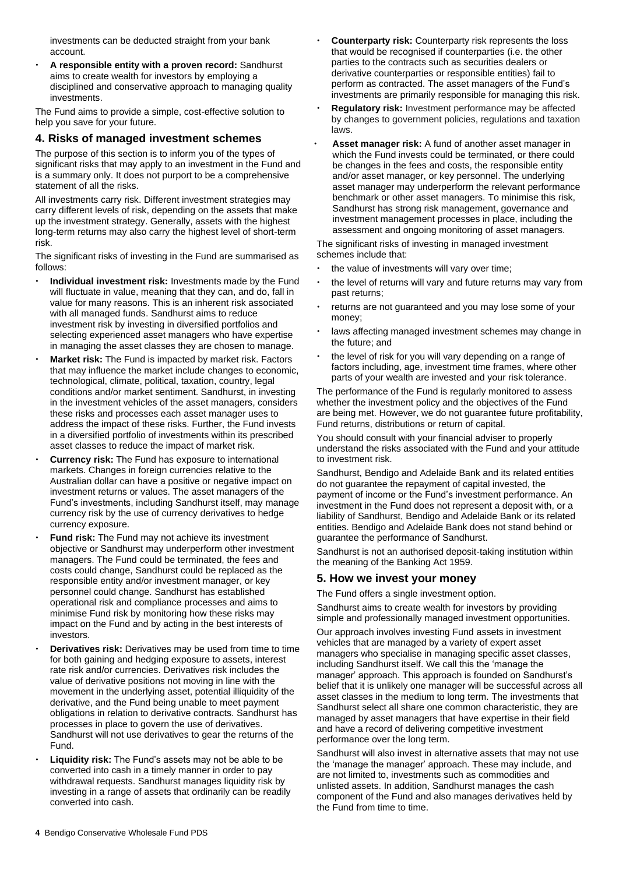investments can be deducted straight from your bank account.

 **A responsible entity with a proven record:** Sandhurst aims to create wealth for investors by employing a disciplined and conservative approach to managing quality investments.

The Fund aims to provide a simple, cost-effective solution to help you save for your future.

## **4. Risks of managed investment schemes**

The purpose of this section is to inform you of the types of significant risks that may apply to an investment in the Fund and is a summary only. It does not purport to be a comprehensive statement of all the risks.

All investments carry risk. Different investment strategies may carry different levels of risk, depending on the assets that make up the investment strategy. Generally, assets with the highest long-term returns may also carry the highest level of short-term risk.

The significant risks of investing in the Fund are summarised as follows:

- **Individual investment risk:** Investments made by the Fund will fluctuate in value, meaning that they can, and do, fall in value for many reasons. This is an inherent risk associated with all managed funds. Sandhurst aims to reduce investment risk by investing in diversified portfolios and selecting experienced asset managers who have expertise in managing the asset classes they are chosen to manage.
- **Market risk:** The Fund is impacted by market risk. Factors that may influence the market include changes to economic, technological, climate, political, taxation, country, legal conditions and/or market sentiment. Sandhurst, in investing in the investment vehicles of the asset managers, considers these risks and processes each asset manager uses to address the impact of these risks. Further, the Fund invests in a diversified portfolio of investments within its prescribed asset classes to reduce the impact of market risk.
- **Currency risk:** The Fund has exposure to international markets. Changes in foreign currencies relative to the Australian dollar can have a positive or negative impact on investment returns or values. The asset managers of the Fund's investments, including Sandhurst itself, may manage currency risk by the use of currency derivatives to hedge currency exposure.
- **Fund risk:** The Fund may not achieve its investment objective or Sandhurst may underperform other investment managers. The Fund could be terminated, the fees and costs could change, Sandhurst could be replaced as the responsible entity and/or investment manager, or key personnel could change. Sandhurst has established operational risk and compliance processes and aims to minimise Fund risk by monitoring how these risks may impact on the Fund and by acting in the best interests of investors.
- **Derivatives risk:** Derivatives may be used from time to time for both gaining and hedging exposure to assets, interest rate risk and/or currencies. Derivatives risk includes the value of derivative positions not moving in line with the movement in the underlying asset, potential illiquidity of the derivative, and the Fund being unable to meet payment obligations in relation to derivative contracts. Sandhurst has processes in place to govern the use of derivatives. Sandhurst will not use derivatives to gear the returns of the Fund.
- **Liquidity risk:** The Fund's assets may not be able to be converted into cash in a timely manner in order to pay withdrawal requests. Sandhurst manages liquidity risk by investing in a range of assets that ordinarily can be readily converted into cash.
- **Counterparty risk:** Counterparty risk represents the loss that would be recognised if counterparties (i.e. the other parties to the contracts such as securities dealers or derivative counterparties or responsible entities) fail to perform as contracted. The asset managers of the Fund's investments are primarily responsible for managing this risk.
- **Regulatory risk:** Investment performance may be affected by changes to government policies, regulations and taxation laws.
- **Asset manager risk:** A fund of another asset manager in which the Fund invests could be terminated, or there could be changes in the fees and costs, the responsible entity and/or asset manager, or key personnel. The underlying asset manager may underperform the relevant performance benchmark or other asset managers. To minimise this risk, Sandhurst has strong risk management, governance and investment management processes in place, including the assessment and ongoing monitoring of asset managers.

The significant risks of investing in managed investment schemes include that:

- the value of investments will vary over time;
- the level of returns will vary and future returns may vary from past returns;
- returns are not guaranteed and you may lose some of your money;
- laws affecting managed investment schemes may change in the future; and
- the level of risk for you will vary depending on a range of factors including, age, investment time frames, where other parts of your wealth are invested and your risk tolerance.

The performance of the Fund is regularly monitored to assess whether the investment policy and the objectives of the Fund are being met. However, we do not guarantee future profitability, Fund returns, distributions or return of capital.

You should consult with your financial adviser to properly understand the risks associated with the Fund and your attitude to investment risk.

Sandhurst, Bendigo and Adelaide Bank and its related entities do not guarantee the repayment of capital invested, the payment of income or the Fund's investment performance. An investment in the Fund does not represent a deposit with, or a liability of Sandhurst, Bendigo and Adelaide Bank or its related entities. Bendigo and Adelaide Bank does not stand behind or guarantee the performance of Sandhurst.

Sandhurst is not an authorised deposit-taking institution within the meaning of the Banking Act 1959.

# **5. How we invest your money**

The Fund offers a single investment option.

Sandhurst aims to create wealth for investors by providing simple and professionally managed investment opportunities.

Our approach involves investing Fund assets in investment vehicles that are managed by a variety of expert asset managers who specialise in managing specific asset classes, including Sandhurst itself. We call this the 'manage the manager' approach. This approach is founded on Sandhurst's belief that it is unlikely one manager will be successful across all asset classes in the medium to long term. The investments that Sandhurst select all share one common characteristic, they are managed by asset managers that have expertise in their field and have a record of delivering competitive investment performance over the long term.

Sandhurst will also invest in alternative assets that may not use the 'manage the manager' approach. These may include, and are not limited to, investments such as commodities and unlisted assets. In addition, Sandhurst manages the cash component of the Fund and also manages derivatives held by the Fund from time to time.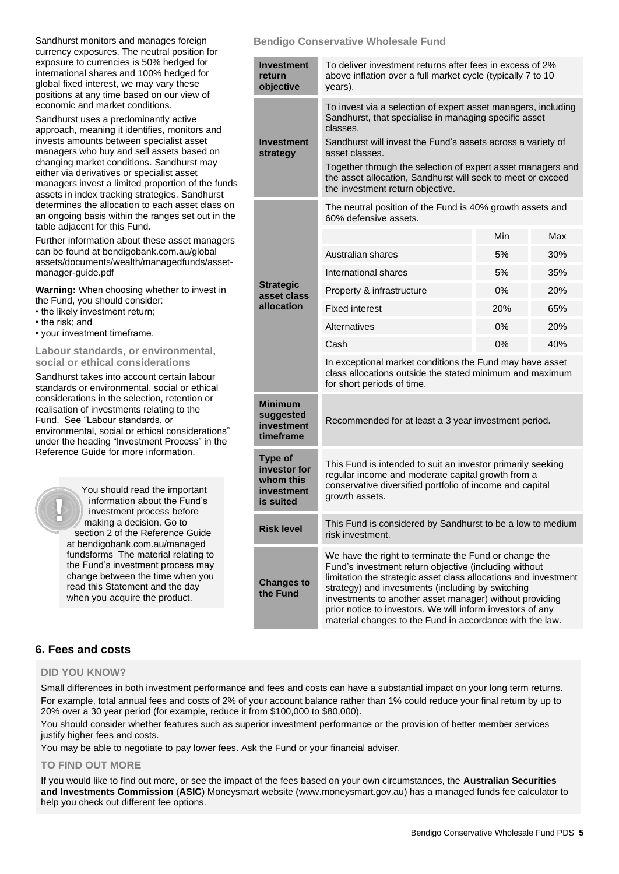| Sandhurst monitors and manages foreign       |
|----------------------------------------------|
| currency exposures. The neutral position for |
| exposure to currencies is 50% hedged for     |
| international shares and 100% hedged for     |
| global fixed interest, we may vary these     |
| positions at any time based on our view of   |
| economic and market conditions.              |

Sandhurst uses a predominantly active approach, meaning it identifies, monitors and invests amounts between specialist asset managers who buy and sell assets based on changing market conditions. Sandhurst may either via derivatives or specialist asset managers invest a limited proportion of the funds assets in index tracking strategies. Sandhurst determines the allocation to each asset class on an ongoing basis within the ranges set out in the table adjacent for this Fund.

Further information about these asset managers can be found a[t bendigobank.com.au/global](https://www.bendigobank.com.au/globalassets/documents/wealth/managedfunds/asset-manager-guide.pdf) [assets/documents/wealth/managedfunds/asset](https://www.bendigobank.com.au/globalassets/documents/wealth/managedfunds/asset-manager-guide.pdf)[manager-guide.pdf](https://www.bendigobank.com.au/globalassets/documents/wealth/managedfunds/asset-manager-guide.pdf)

**Warning:** When choosing whether to invest in the Fund, you should consider:

- the likely investment return;
- the risk; and
- your investment timeframe.

#### **Labour standards, or environmental, social or ethical considerations**

Sandhurst takes into account certain labour standards or environmental, social or ethical considerations in the selection, retention or realisation of investments relating to the Fund. See "Labour standards, or environmental, social or ethical considerations" under the heading "Investment Process" in the Reference Guide for more information.

> You should read the important information about the Fund's investment process before making a decision. Go to section 2 of the Reference Guide at [bendigobank.com.au/managed](https://bendigobank.com.au/managedfundsforms) [fundsf](https://bendigobank.com.au/managedfundsforms)orms The material relating to the Fund's investment process may change between the time when you read this Statement and the day when you acquire the product.

#### **Bendigo Conservative Wholesale Fund**

| Investment<br>return<br>objective                                      | To deliver investment returns after fees in excess of 2%<br>above inflation over a full market cycle (typically 7 to 10<br>years).                                                                                                                                                                                                                                                                                          |     |     |  |
|------------------------------------------------------------------------|-----------------------------------------------------------------------------------------------------------------------------------------------------------------------------------------------------------------------------------------------------------------------------------------------------------------------------------------------------------------------------------------------------------------------------|-----|-----|--|
| Investment<br>strategy                                                 | To invest via a selection of expert asset managers, including<br>Sandhurst, that specialise in managing specific asset<br>classes.<br>Sandhurst will invest the Fund's assets across a variety of<br>asset classes.<br>Together through the selection of expert asset managers and<br>the asset allocation, Sandhurst will seek to meet or exceed<br>the investment return objective.                                       |     |     |  |
|                                                                        | The neutral position of the Fund is 40% growth assets and<br>60% defensive assets.                                                                                                                                                                                                                                                                                                                                          |     |     |  |
|                                                                        |                                                                                                                                                                                                                                                                                                                                                                                                                             | Min | Max |  |
|                                                                        | Australian shares                                                                                                                                                                                                                                                                                                                                                                                                           | 5%  | 30% |  |
|                                                                        | International shares                                                                                                                                                                                                                                                                                                                                                                                                        | 5%  | 35% |  |
| <b>Strategic</b><br>asset class                                        | Property & infrastructure                                                                                                                                                                                                                                                                                                                                                                                                   | 0%  | 20% |  |
| allocation                                                             | <b>Fixed interest</b>                                                                                                                                                                                                                                                                                                                                                                                                       | 20% | 65% |  |
|                                                                        | Alternatives                                                                                                                                                                                                                                                                                                                                                                                                                | 0%  | 20% |  |
|                                                                        | Cash                                                                                                                                                                                                                                                                                                                                                                                                                        | 0%  | 40% |  |
|                                                                        | In exceptional market conditions the Fund may have asset<br>class allocations outside the stated minimum and maximum<br>for short periods of time.                                                                                                                                                                                                                                                                          |     |     |  |
| <b>Minimum</b><br>suggested<br>investment<br>timeframe                 | Recommended for at least a 3 year investment period.                                                                                                                                                                                                                                                                                                                                                                        |     |     |  |
| <b>Type of</b><br>investor for<br>whom this<br>investment<br>is suited | This Fund is intended to suit an investor primarily seeking<br>regular income and moderate capital growth from a<br>conservative diversified portfolio of income and capital<br>growth assets.                                                                                                                                                                                                                              |     |     |  |
| <b>Risk level</b>                                                      | This Fund is considered by Sandhurst to be a low to medium<br>risk investment.                                                                                                                                                                                                                                                                                                                                              |     |     |  |
| <b>Changes to</b><br>the Fund                                          | We have the right to terminate the Fund or change the<br>Fund's investment return objective (including without<br>limitation the strategic asset class allocations and investment<br>strategy) and investments (including by switching<br>investments to another asset manager) without providing<br>prior notice to investors. We will inform investors of any<br>material changes to the Fund in accordance with the law. |     |     |  |

# **6. Fees and costs**

#### **DID YOU KNOW?**

Small differences in both investment performance and fees and costs can have a substantial impact on your long term returns. For example, total annual fees and costs of 2% of your account balance rather than 1% could reduce your final return by up to 20% over a 30 year period (for example, reduce it from \$100,000 to \$80,000).

You should consider whether features such as superior investment performance or the provision of better member services justify higher fees and costs.

You may be able to negotiate to pay lower fees. Ask the Fund or your financial adviser.

#### **TO FIND OUT MORE**

If you would like to find out more, or see the impact of the fees based on your own circumstances, the **Australian Securities and Investments Commission** (**ASIC**) Moneysmart website (www[.moneysmart.gov.au\)](https://www.moneysmart.gov.au/) has a managed funds fee calculator to help you check out different fee options.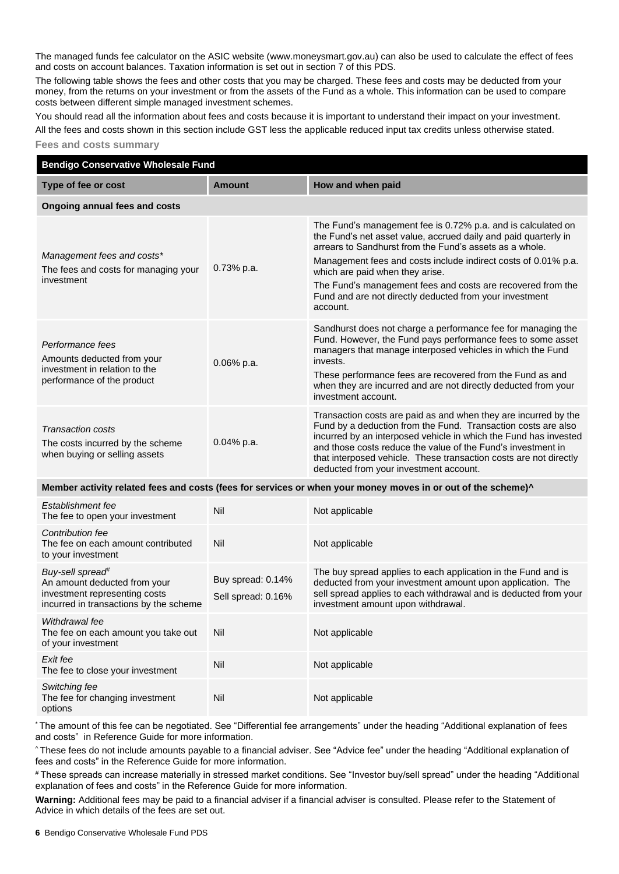The managed funds fee calculator on the ASIC website (ww[w.moneysmart.gov.au\)](https://www.moneysmart.gov.au/) can also be used to calculate the effect of fees and costs on account balances. Taxation information is set out in section 7 of this PDS.

The following table shows the fees and other costs that you may be charged. These fees and costs may be deducted from your money, from the returns on your investment or from the assets of the Fund as a whole. This information can be used to compare costs between different simple managed investment schemes.

You should read all the information about fees and costs because it is important to understand their impact on your investment.

All the fees and costs shown in this section include GST less the applicable reduced input tax credits unless otherwise stated.

#### **Fees and costs summary**

| <b>Bendigo Conservative Wholesale Fund</b>                                                                                              |                                         |                                                                                                                                                                                                                                                                                                                                                                                                                                       |  |  |  |  |
|-----------------------------------------------------------------------------------------------------------------------------------------|-----------------------------------------|---------------------------------------------------------------------------------------------------------------------------------------------------------------------------------------------------------------------------------------------------------------------------------------------------------------------------------------------------------------------------------------------------------------------------------------|--|--|--|--|
| Type of fee or cost                                                                                                                     | <b>Amount</b>                           | How and when paid                                                                                                                                                                                                                                                                                                                                                                                                                     |  |  |  |  |
| <b>Ongoing annual fees and costs</b>                                                                                                    |                                         |                                                                                                                                                                                                                                                                                                                                                                                                                                       |  |  |  |  |
| Management fees and costs*<br>The fees and costs for managing your<br>investment                                                        | 0.73% p.a.                              | The Fund's management fee is 0.72% p.a. and is calculated on<br>the Fund's net asset value, accrued daily and paid quarterly in<br>arrears to Sandhurst from the Fund's assets as a whole.<br>Management fees and costs include indirect costs of 0.01% p.a.<br>which are paid when they arise.<br>The Fund's management fees and costs are recovered from the<br>Fund and are not directly deducted from your investment<br>account. |  |  |  |  |
| Performance fees<br>Amounts deducted from your<br>investment in relation to the<br>performance of the product                           | 0.06% p.a.                              | Sandhurst does not charge a performance fee for managing the<br>Fund. However, the Fund pays performance fees to some asset<br>managers that manage interposed vehicles in which the Fund<br>invests.<br>These performance fees are recovered from the Fund as and<br>when they are incurred and are not directly deducted from your<br>investment account.                                                                           |  |  |  |  |
| Transaction costs<br>The costs incurred by the scheme<br>when buying or selling assets                                                  | 0.04% p.a.                              | Transaction costs are paid as and when they are incurred by the<br>Fund by a deduction from the Fund. Transaction costs are also<br>incurred by an interposed vehicle in which the Fund has invested<br>and those costs reduce the value of the Fund's investment in<br>that interposed vehicle. These transaction costs are not directly<br>deducted from your investment account.                                                   |  |  |  |  |
|                                                                                                                                         |                                         | Member activity related fees and costs (fees for services or when your money moves in or out of the scheme)^                                                                                                                                                                                                                                                                                                                          |  |  |  |  |
| Establishment fee<br>The fee to open your investment                                                                                    | Nil                                     | Not applicable                                                                                                                                                                                                                                                                                                                                                                                                                        |  |  |  |  |
| Contribution fee<br>The fee on each amount contributed<br>to your investment                                                            | Nil                                     | Not applicable                                                                                                                                                                                                                                                                                                                                                                                                                        |  |  |  |  |
| Buy-sell spread <sup>#</sup><br>An amount deducted from your<br>investment representing costs<br>incurred in transactions by the scheme | Buy spread: 0.14%<br>Sell spread: 0.16% | The buy spread applies to each application in the Fund and is<br>deducted from your investment amount upon application. The<br>sell spread applies to each withdrawal and is deducted from your<br>investment amount upon withdrawal.                                                                                                                                                                                                 |  |  |  |  |
| Withdrawal fee<br>The fee on each amount you take out<br>of your investment                                                             | Nil                                     | Not applicable                                                                                                                                                                                                                                                                                                                                                                                                                        |  |  |  |  |
| Exit fee<br>The fee to close your investment                                                                                            | Nil                                     | Not applicable                                                                                                                                                                                                                                                                                                                                                                                                                        |  |  |  |  |
| Switching fee<br>The fee for changing investment<br>options                                                                             | Nil                                     | Not applicable                                                                                                                                                                                                                                                                                                                                                                                                                        |  |  |  |  |

\* The amount of this fee can be negotiated. See "Differential fee arrangements" under the heading "Additional explanation of fees and costs" in Reference Guide for more information.

^ These fees do not include amounts payable to a financial adviser. See "Advice fee" under the heading "Additional explanation of fees and costs" in the Reference Guide for more information.

# These spreads can increase materially in stressed market conditions. See "Investor buy/sell spread" under the heading "Additional explanation of fees and costs" in the Reference Guide for more information.

**Warning:** Additional fees may be paid to a financial adviser if a financial adviser is consulted. Please refer to the Statement of Advice in which details of the fees are set out.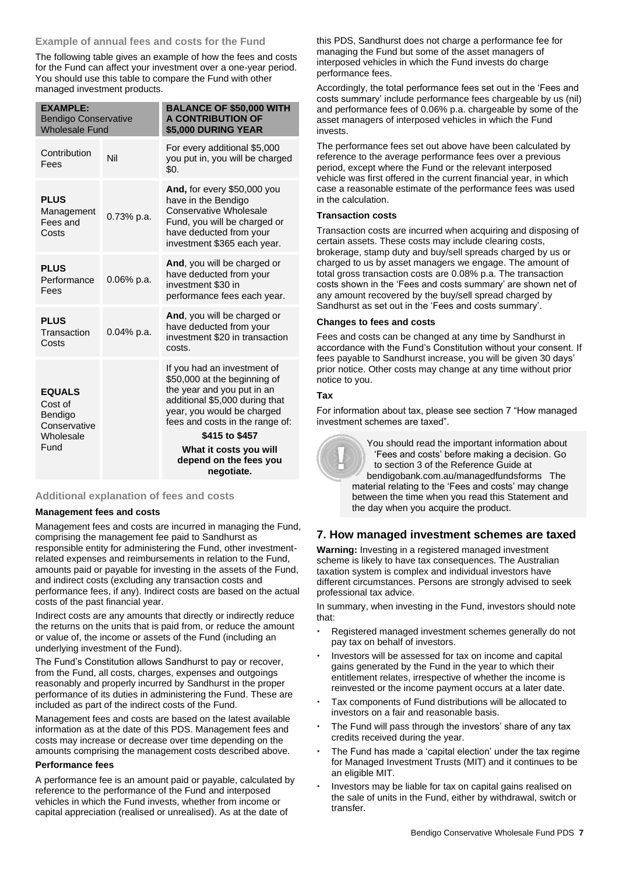# **Example of annual fees and costs for the Fund**

The following table gives an example of how the fees and costs for the Fund can affect your investment over a one-year period. You should use this table to compare the Fund with other managed investment products.

| <b>EXAMPLE:</b><br><b>Bendigo Conservative</b><br><b>Wholesale Fund</b> |               | <b>BALANCE OF \$50,000 WITH</b><br><b>A CONTRIBUTION OF</b><br>\$5,000 DURING YEAR                                                                                                                             |
|-------------------------------------------------------------------------|---------------|----------------------------------------------------------------------------------------------------------------------------------------------------------------------------------------------------------------|
| Contribution<br>Fees                                                    | Nil           | For every additional \$5,000<br>you put in, you will be charged<br>\$0.                                                                                                                                        |
| <b>PLUS</b><br>Management<br>Fees and<br>Costs                          | $0.73\%$ p.a. | And, for every \$50,000 you<br>have in the Bendigo<br>Conservative Wholesale<br>Fund, you will be charged or<br>have deducted from your<br>investment \$365 each year.                                         |
| <b>PLUS</b><br>Performance<br>Fees                                      | $0.06\%$ p.a. | And, you will be charged or<br>have deducted from your<br>investment \$30 in<br>performance fees each year.                                                                                                    |
| <b>PLUS</b><br>Transaction<br>Costs                                     | 0.04% p.a.    | And, you will be charged or<br>have deducted from your<br>investment \$20 in transaction<br>costs.                                                                                                             |
| <b>EQUALS</b><br>Cost of<br>Bendigo<br>Conservative<br>Wholesale        |               | If you had an investment of<br>\$50,000 at the beginning of<br>the year and you put in an<br>additional \$5,000 during that<br>year, you would be charged<br>fees and costs in the range of:<br>\$415 to \$457 |
| Fund                                                                    |               | What it costs you will<br>depend on the fees you<br>negotiate.                                                                                                                                                 |

# **Additional explanation of fees and costs**

#### **Management fees and costs**

Management fees and costs are incurred in managing the Fund, comprising the management fee paid to Sandhurst as responsible entity for administering the Fund, other investmentrelated expenses and reimbursements in relation to the Fund, amounts paid or payable for investing in the assets of the Fund, and indirect costs (excluding any transaction costs and performance fees, if any). Indirect costs are based on the actual costs of the past financial year.

Indirect costs are any amounts that directly or indirectly reduce the returns on the units that is paid from, or reduce the amount or value of, the income or assets of the Fund (including an underlying investment of the Fund).

The Fund's Constitution allows Sandhurst to pay or recover, from the Fund, all costs, charges, expenses and outgoings reasonably and properly incurred by Sandhurst in the proper performance of its duties in administering the Fund. These are included as part of the indirect costs of the Fund.

Management fees and costs are based on the latest available information as at the date of this PDS. Management fees and costs may increase or decrease over time depending on the amounts comprising the management costs described above.

#### **Performance fees**

A performance fee is an amount paid or payable, calculated by reference to the performance of the Fund and interposed vehicles in which the Fund invests, whether from income or capital appreciation (realised or unrealised). As at the date of

this PDS, Sandhurst does not charge a performance fee for managing the Fund but some of the asset managers of interposed vehicles in which the Fund invests do charge performance fees.

Accordingly, the total performance fees set out in the 'Fees and costs summary' include performance fees chargeable by us (nil) and performance fees of 0.06% p.a. chargeable by some of the asset managers of interposed vehicles in which the Fund invests.

The performance fees set out above have been calculated by reference to the average performance fees over a previous period, except where the Fund or the relevant interposed vehicle was first offered in the current financial year, in which case a reasonable estimate of the performance fees was used in the calculation.

#### **Transaction costs**

Transaction costs are incurred when acquiring and disposing of certain assets. These costs may include clearing costs, brokerage, stamp duty and buy/sell spreads charged by us or charged to us by asset managers we engage. The amount of total gross transaction costs are 0.08% p.a. The transaction costs shown in the 'Fees and costs summary' are shown net of any amount recovered by the buy/sell spread charged by Sandhurst as set out in the 'Fees and costs summary'.

#### **Changes to fees and costs**

Fees and costs can be changed at any time by Sandhurst in accordance with the Fund's Constitution without your consent. If fees payable to Sandhurst increase, you will be given 30 days' prior notice. Other costs may change at any time without prior notice to you.

#### **Tax**

For information about tax, please see section 7 "How managed investment schemes are taxed".



You should read the important information about 'Fees and costs' before making a decision. Go to section 3 of the Reference Guide at [bendigobank.com.au/managedfundsf](https://bendigobank.com.au/managedfundsforms)orms The material relating to the 'Fees and costs' may change between the time when you read this Statement and the day when you acquire the product.

# **7. How managed investment schemes are taxed**

**Warning:** Investing in a registered managed investment scheme is likely to have tax consequences. The Australian taxation system is complex and individual investors have different circumstances. Persons are strongly advised to seek professional tax advice.

In summary, when investing in the Fund, investors should note that:

- Registered managed investment schemes generally do not pay tax on behalf of investors.
- Investors will be assessed for tax on income and capital gains generated by the Fund in the year to which their entitlement relates, irrespective of whether the income is reinvested or the income payment occurs at a later date.
- Tax components of Fund distributions will be allocated to investors on a fair and reasonable basis.
- The Fund will pass through the investors' share of any tax credits received during the year.
- The Fund has made a 'capital election' under the tax regime for Managed Investment Trusts (MIT) and it continues to be an eligible MIT.
- Investors may be liable for tax on capital gains realised on the sale of units in the Fund, either by withdrawal, switch or transfer.